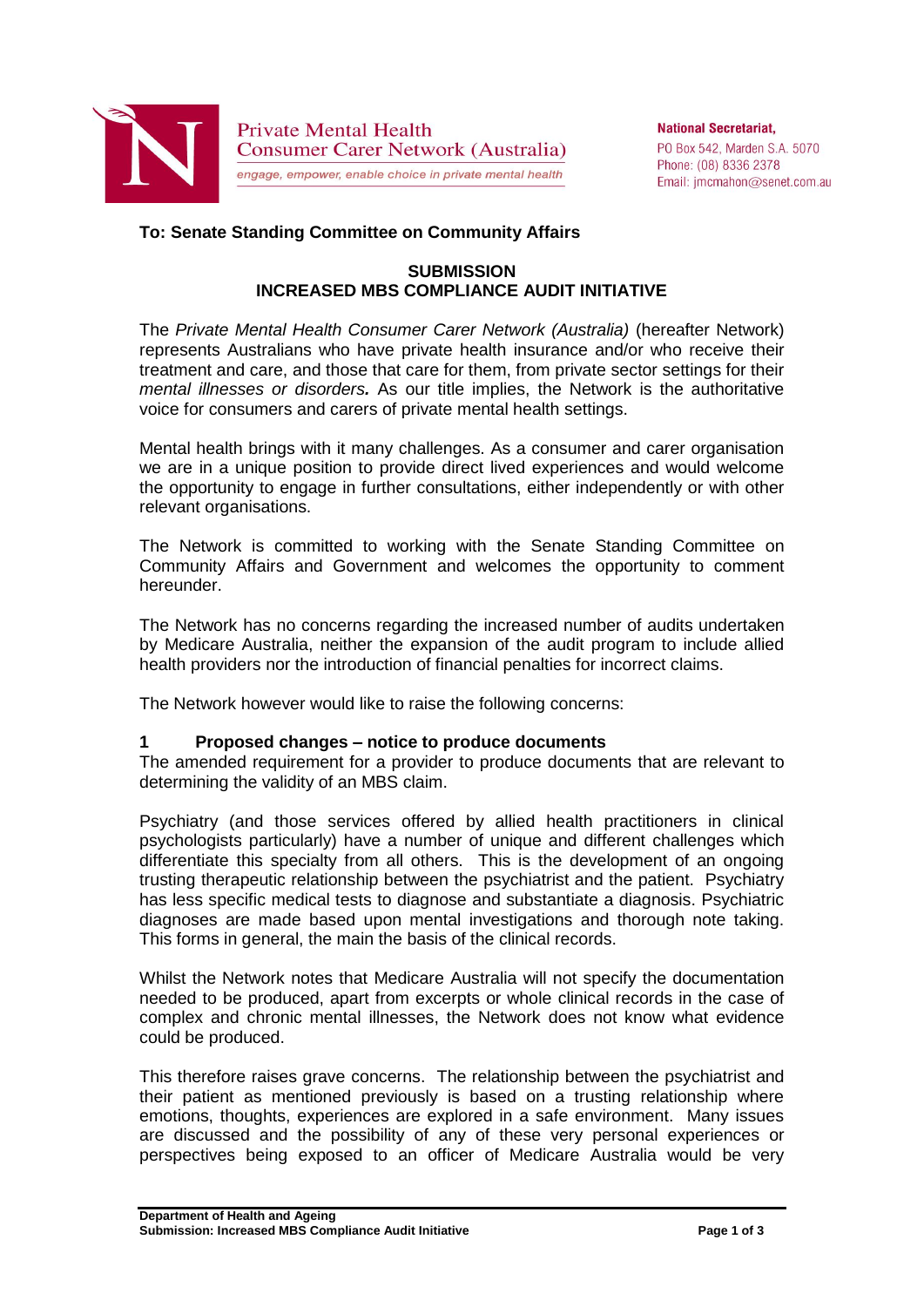

**National Secretariat.** PO Box 542. Marden S.A. 5070 Phone: (08) 8336 2378 Email: jmcmahon@senet.com.au

# **To: Senate Standing Committee on Community Affairs**

### **SUBMISSION INCREASED MBS COMPLIANCE AUDIT INITIATIVE**

The *Private Mental Health Consumer Carer Network (Australia)* (hereafter Network) represents Australians who have private health insurance and/or who receive their treatment and care, and those that care for them, from private sector settings for their *mental illnesses or disorders.* As our title implies, the Network is the authoritative voice for consumers and carers of private mental health settings.

Mental health brings with it many challenges. As a consumer and carer organisation we are in a unique position to provide direct lived experiences and would welcome the opportunity to engage in further consultations, either independently or with other relevant organisations.

The Network is committed to working with the Senate Standing Committee on Community Affairs and Government and welcomes the opportunity to comment hereunder.

The Network has no concerns regarding the increased number of audits undertaken by Medicare Australia, neither the expansion of the audit program to include allied health providers nor the introduction of financial penalties for incorrect claims.

The Network however would like to raise the following concerns:

# **1 Proposed changes – notice to produce documents**

The amended requirement for a provider to produce documents that are relevant to determining the validity of an MBS claim.

Psychiatry (and those services offered by allied health practitioners in clinical psychologists particularly) have a number of unique and different challenges which differentiate this specialty from all others. This is the development of an ongoing trusting therapeutic relationship between the psychiatrist and the patient. Psychiatry has less specific medical tests to diagnose and substantiate a diagnosis. Psychiatric diagnoses are made based upon mental investigations and thorough note taking. This forms in general, the main the basis of the clinical records.

Whilst the Network notes that Medicare Australia will not specify the documentation needed to be produced, apart from excerpts or whole clinical records in the case of complex and chronic mental illnesses, the Network does not know what evidence could be produced.

This therefore raises grave concerns. The relationship between the psychiatrist and their patient as mentioned previously is based on a trusting relationship where emotions, thoughts, experiences are explored in a safe environment. Many issues are discussed and the possibility of any of these very personal experiences or perspectives being exposed to an officer of Medicare Australia would be very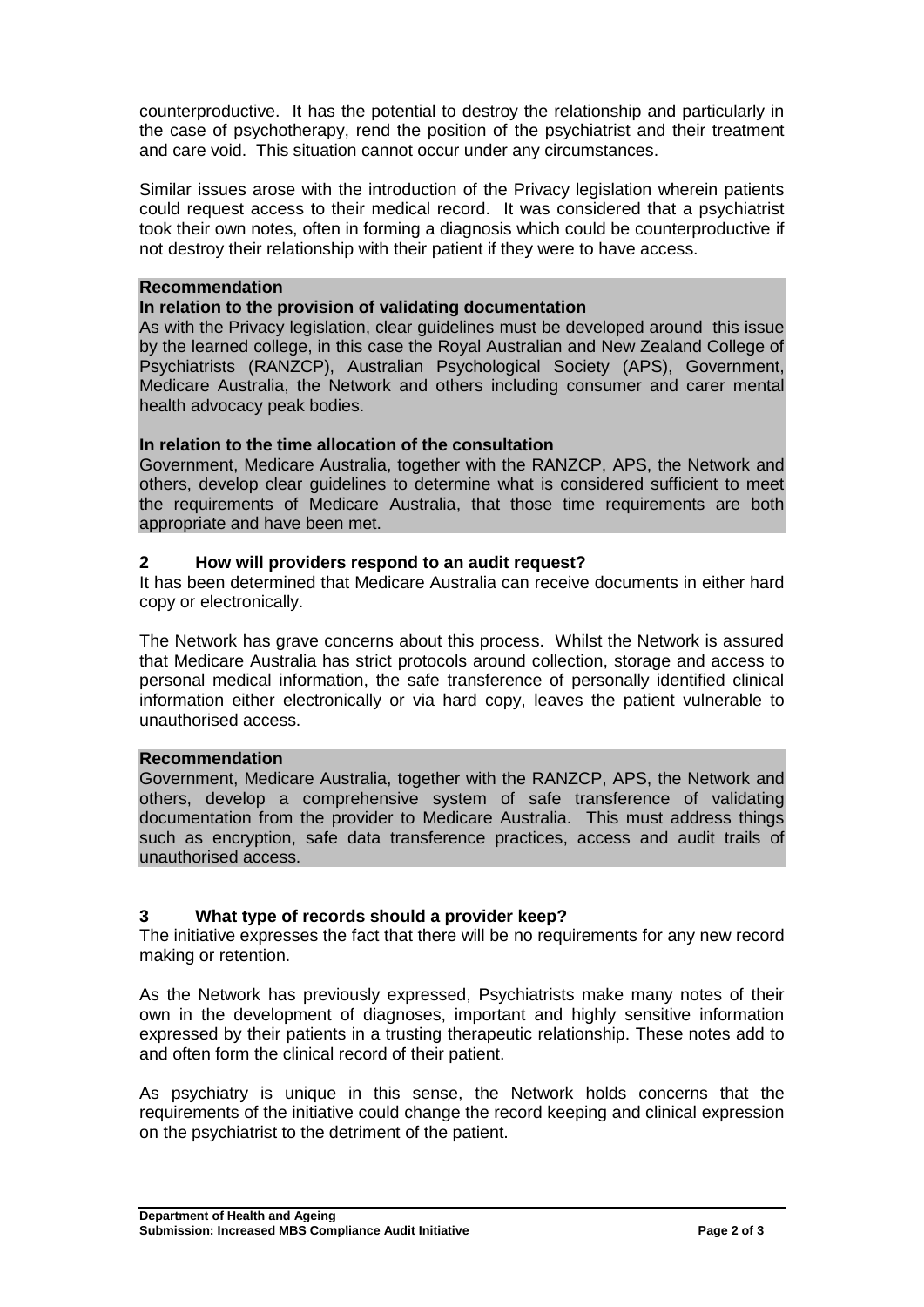counterproductive. It has the potential to destroy the relationship and particularly in the case of psychotherapy, rend the position of the psychiatrist and their treatment and care void. This situation cannot occur under any circumstances.

Similar issues arose with the introduction of the Privacy legislation wherein patients could request access to their medical record. It was considered that a psychiatrist took their own notes, often in forming a diagnosis which could be counterproductive if not destroy their relationship with their patient if they were to have access.

#### **Recommendation**

# **In relation to the provision of validating documentation**

As with the Privacy legislation, clear guidelines must be developed around this issue by the learned college, in this case the Royal Australian and New Zealand College of Psychiatrists (RANZCP), Australian Psychological Society (APS), Government, Medicare Australia, the Network and others including consumer and carer mental health advocacy peak bodies.

# **In relation to the time allocation of the consultation**

Government, Medicare Australia, together with the RANZCP, APS, the Network and others, develop clear guidelines to determine what is considered sufficient to meet the requirements of Medicare Australia, that those time requirements are both appropriate and have been met.

#### **2 How will providers respond to an audit request?**

It has been determined that Medicare Australia can receive documents in either hard copy or electronically.

The Network has grave concerns about this process. Whilst the Network is assured that Medicare Australia has strict protocols around collection, storage and access to personal medical information, the safe transference of personally identified clinical information either electronically or via hard copy, leaves the patient vulnerable to unauthorised access.

### **Recommendation**

Government, Medicare Australia, together with the RANZCP, APS, the Network and others, develop a comprehensive system of safe transference of validating documentation from the provider to Medicare Australia. This must address things such as encryption, safe data transference practices, access and audit trails of unauthorised access.

# **3 What type of records should a provider keep?**

The initiative expresses the fact that there will be no requirements for any new record making or retention.

As the Network has previously expressed, Psychiatrists make many notes of their own in the development of diagnoses, important and highly sensitive information expressed by their patients in a trusting therapeutic relationship. These notes add to and often form the clinical record of their patient.

As psychiatry is unique in this sense, the Network holds concerns that the requirements of the initiative could change the record keeping and clinical expression on the psychiatrist to the detriment of the patient.